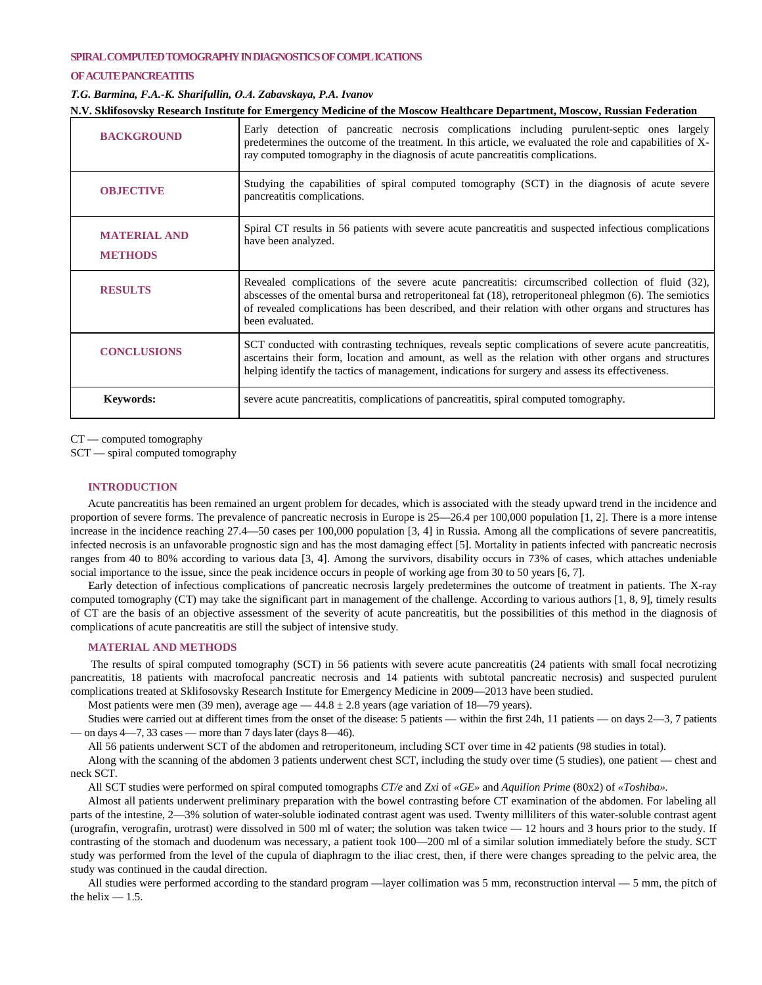### **SPIRAL COMPUTED TOMOGRAPHY IN DIAGNOSTICS OF COMPL ICATIONS**

### **OF ACUTE PANCREATITIS**

## *Т.G. Barmina, F.A.-K. Sharifullin, О.А. Zabavskaya, P.A. Ivanov*

| N.V. Sklifosovsky Research Institute for Emergency Medicine of the Moscow Healthcare Department, Moscow, Russian Federation |                                                                                                                                                                                                                                                                                                                                          |
|-----------------------------------------------------------------------------------------------------------------------------|------------------------------------------------------------------------------------------------------------------------------------------------------------------------------------------------------------------------------------------------------------------------------------------------------------------------------------------|
| <b>BACKGROUND</b>                                                                                                           | Early detection of pancreatic necrosis complications including purulent-septic ones largely<br>predetermines the outcome of the treatment. In this article, we evaluated the role and capabilities of X-<br>ray computed tomography in the diagnosis of acute pancreatitis complications.                                                |
| <b>OBJECTIVE</b>                                                                                                            | Studying the capabilities of spiral computed tomography (SCT) in the diagnosis of acute severe<br>pancreatitis complications.                                                                                                                                                                                                            |
| <b>MATERIAL AND</b><br><b>METHODS</b>                                                                                       | Spiral CT results in 56 patients with severe acute pancreatitis and suspected infectious complications<br>have been analyzed.                                                                                                                                                                                                            |
| <b>RESULTS</b>                                                                                                              | Revealed complications of the severe acute pancreatitis: circumscribed collection of fluid (32),<br>abscesses of the omental bursa and retroperitoneal fat (18), retroperitoneal phlegmon (6). The semiotics<br>of revealed complications has been described, and their relation with other organs and structures has<br>been evaluated. |
| <b>CONCLUSIONS</b>                                                                                                          | SCT conducted with contrasting techniques, reveals septic complications of severe acute pancreatitis,<br>ascertains their form, location and amount, as well as the relation with other organs and structures<br>helping identify the tactics of management, indications for surgery and assess its effectiveness.                       |
| <b>Keywords:</b>                                                                                                            | severe acute pancreatitis, complications of pancreatitis, spiral computed tomography.                                                                                                                                                                                                                                                    |

CT — computed tomography

SCT — spiral computed tomography

# **INTRODUCTION**

Acute pancreatitis has been remained an urgent problem for decades, which is associated with the steady upward trend in the incidence and proportion of severe forms. The prevalence of pancreatic necrosis in Europe is 25—26.4 per 100,000 population [1, 2]. There is a more intense increase in the incidence reaching 27.4—50 cases per 100,000 population [3, 4] in Russia. Among all the complications of severe pancreatitis, infected necrosis is an unfavorable prognostic sign and has the most damaging effect [5]. Mortality in patients infected with pancreatic necrosis ranges from 40 to 80% according to various data [3, 4]. Among the survivors, disability occurs in 73% of cases, which attaches undeniable social importance to the issue, since the peak incidence occurs in people of working age from 30 to 50 years [6, 7].

Early detection of infectious complications of pancreatic necrosis largely predetermines the outcome of treatment in patients. The X-ray computed tomography (CT) may take the significant part in management of the challenge. According to various authors [1, 8, 9], timely results of CT are the basis of an objective assessment of the severity of acute pancreatitis, but the possibilities of this method in the diagnosis of complications of acute pancreatitis are still the subject of intensive study.

# **MATERIAL AND METHODS**

The results of spiral computed tomography (SCT) in 56 patients with severe acute pancreatitis (24 patients with small focal necrotizing pancreatitis, 18 patients with macrofocal pancreatic necrosis and 14 patients with subtotal pancreatic necrosis) and suspected purulent complications treated at Sklifosovsky Research Institute for Emergency Medicine in 2009—2013 have been studied.

Most patients were men (39 men), average age  $-44.8 \pm 2.8$  years (age variation of 18–79 years).

Studies were carried out at different times from the onset of the disease: 5 patients — within the first 24h, 11 patients — on days 2—3, 7 patients on days 4—7, 33 cases — more than 7 days later (days 8—46).

All 56 patients underwent SCT of the abdomen and retroperitoneum, including SCT over time in 42 patients (98 studies in total).

Along with the scanning of the abdomen 3 patients underwent chest SCT, including the study over time (5 studies), one patient — chest and neck SCT.

All SCT studies were performed on spiral computed tomographs *CT/e* and *Zxi* of *«GE»* and *Aquilion Prime* (80x2) of *«Toshiba».*

Almost all patients underwent preliminary preparation with the bowel contrasting before CT examination of the abdomen. For labeling all parts of the intestine, 2—3% solution of water-soluble iodinated contrast agent was used. Twenty milliliters of this water-soluble contrast agent (urografin, verografin, urotrast) were dissolved in 500 ml of water; the solution was taken twice — 12 hours and 3 hours prior to the study. If contrasting of the stomach and duodenum was necessary, a patient took 100—200 ml of a similar solution immediately before the study. SCT study was performed from the level of the cupula of diaphragm to the iliac crest, then, if there were changes spreading to the pelvic area, the study was continued in the caudal direction.

All studies were performed according to the standard program —layer collimation was 5 mm, reconstruction interval — 5 mm, the pitch of the helix  $-1.5$ .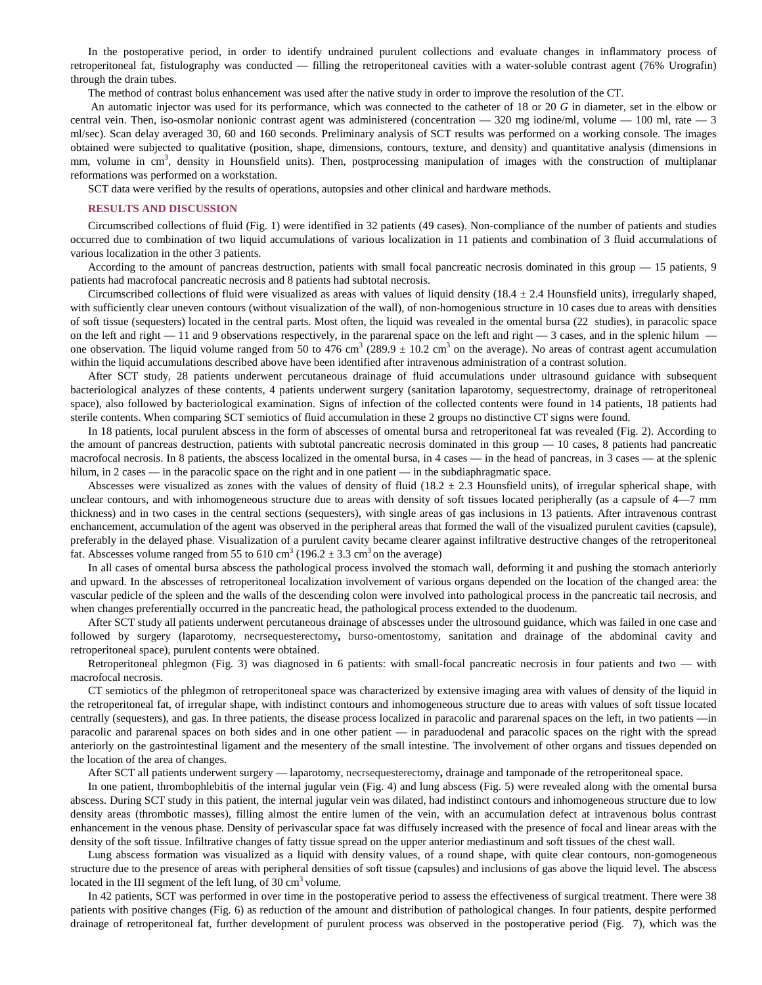In the postoperative period, in order to identify undrained purulent collections and evaluate changes in inflammatory process of retroperitoneal fat, fistulography was conducted — filling the retroperitoneal cavities with a water-soluble contrast agent (76% Urografin) through the drain tubes.

The method of contrast bolus enhancement was used after the native study in order to improve the resolution of the CT.

An automatic injector was used for its performance, which was connected to the catheter of 18 or 20 *G* in diameter, set in the elbow or central vein. Then, iso-osmolar nonionic contrast agent was administered (concentration — 320 mg iodine/ml, volume — 100 ml, rate — 3 ml/sec). Scan delay averaged 30, 60 and 160 seconds. Preliminary analysis of SCT results was performed on a working console. The images obtained were subjected to qualitative (position, shape, dimensions, contours, texture, and density) and quantitative analysis (dimensions in mm, volume in cm<sup>3</sup>, density in Hounsfield units). Then, postprocessing manipulation of images with the construction of multiplanar reformations was performed on a workstation.

SCT data were verified by the results of operations, autopsies and other clinical and hardware methods.

#### **RESULTS AND DISCUSSION**

Circumscribed collections of fluid (Fig. 1) were identified in 32 patients (49 cases). Non-compliance of the number of patients and studies occurred due to combination of two liquid accumulations of various localization in 11 patients and combination of 3 fluid accumulations of various localization in the other 3 patients.

According to the amount of pancreas destruction, patients with small focal pancreatic necrosis dominated in this group — 15 patients, 9 patients had macrofocal pancreatic necrosis and 8 patients had subtotal necrosis.

Circumscribed collections of fluid were visualized as areas with values of liquid density (18.4 ± 2.4 Hounsfield units), irregularly shaped, with sufficiently clear uneven contours (without visualization of the wall), of non-homogenious structure in 10 cases due to areas with densities of soft tissue (sequesters) located in the central parts. Most often, the liquid was revealed in the omental bursa (22 studies), in paracolic space on the left and right — 11 and 9 observations respectively, in the pararenal space on the left and right — 3 cases, and in the splenic hilum one observation. The liquid volume ranged from 50 to 476 cm<sup>3</sup> (289.9  $\pm$  10.2 cm<sup>3</sup> on the average). No areas of contrast agent accumulation within the liquid accumulations described above have been identified after intravenous administration of a contrast solution.

After SCT study, 28 patients underwent percutaneous drainage of fluid accumulations under ultrasound guidance with subsequent bacteriological analyzes of these contents, 4 patients underwent surgery (sanitation laparotomy, sequestrectomy, drainage of retroperitoneal space), also followed by bacteriological examination. Signs of infection of the collected contents were found in 14 patients, 18 patients had sterile contents. When comparing SCT semiotics of fluid accumulation in these 2 groups no distinctive CT signs were found.

In 18 patients, local purulent abscess in the form of abscesses of omental bursa and retroperitoneal fat was revealed (Fig. 2). According to the amount of pancreas destruction, patients with subtotal pancreatic necrosis dominated in this group  $-10$  cases, 8 patients had pancreatic macrofocal necrosis. In 8 patients, the abscess localized in the omental bursa, in 4 cases — in the head of pancreas, in 3 cases — at the splenic hilum, in 2 cases — in the paracolic space on the right and in one patient — in the subdiaphragmatic space.

Abscesses were visualized as zones with the values of density of fluid (18.2  $\pm$  2.3 Hounsfield units), of irregular spherical shape, with unclear contours, and with inhomogeneous structure due to areas with density of soft tissues located peripherally (as a capsule of 4—7 mm thickness) and in two cases in the central sections (sequesters), with single areas of gas inclusions in 13 patients. After intravenous contrast enchancement, accumulation of the agent was observed in the peripheral areas that formed the wall of the visualized purulent cavities (capsule), preferably in the delayed phase. Visualization of a purulent cavity became clearer against infiltrative destructive changes of the retroperitoneal fat. Abscesses volume ranged from 55 to 610 cm<sup>3</sup> (196.2  $\pm$  3.3 cm<sup>3</sup> on the average)

In all cases of omental bursa abscess the pathological process involved the stomach wall, deforming it and pushing the stomach anteriorly and upward. In the abscesses of retroperitoneal localization involvement of various organs depended on the location of the changed area: the vascular pedicle of the spleen and the walls of the descending colon were involved into pathological process in the pancreatic tail necrosis, and when changes preferentially occurred in the pancreatic head, the pathological process extended to the duodenum.

After SCT study all patients underwent percutaneous drainage of abscesses under the ultrosound guidance, which was failed in one case and followed by surgery (laparotomy, necrsequesterectomy**,** burso-omentostomy, sanitation and drainage of the abdominal cavity and retroperitoneal space), purulent contents were obtained.

Retroperitoneal phlegmon (Fig. 3) was diagnosed in 6 patients: with small-focal pancreatic necrosis in four patients and two — with macrofocal necrosis.

CT semiotics of the phlegmon of retroperitoneal space was characterized by extensive imaging area with values of density of the liquid in the retroperitoneal fat, of irregular shape, with indistinct contours and inhomogeneous structure due to areas with values of soft tissue located centrally (sequesters), and gas. In three patients, the disease process localized in paracolic and pararenal spaces on the left, in two patients —in paracolic and pararenal spaces on both sides and in one other patient — in paraduodenal and paracolic spaces on the right with the spread anteriorly on the gastrointestinal ligament and the mesentery of the small intestine. The involvement of other organs and tissues depended on the location of the area of changes.

After SCT all patients underwent surgery — laparotomy, necrsequesterectomy**,** drainage and tamponade of the retroperitoneal space.

In one patient, thrombophlebitis of the internal jugular vein (Fig. 4) and lung abscess (Fig. 5) were revealed along with the omental bursa abscess. During SCT study in this patient, the internal jugular vein was dilated, had indistinct contours and inhomogeneous structure due to low density areas (thrombotic masses), filling almost the entire lumen of the vein, with an accumulation defect at intravenous bolus contrast enhancement in the venous phase. Density of perivascular space fat was diffusely increased with the presence of focal and linear areas with the density of the soft tissue. Infiltrative changes of fatty tissue spread on the upper anterior mediastinum and soft tissues of the chest wall.

Lung abscess formation was visualized as a liquid with density values, of a round shape, with quite clear contours, non-gomogeneous structure due to the presence of areas with peripheral densities of soft tissue (capsules) and inclusions of gas above the liquid level. The abscess located in the III segment of the left lung, of 30 cm<sup>3</sup> volume.

In 42 patients, SCT was performed in over time in the postoperative period to assess the effectiveness of surgical treatment. There were 38 patients with positive changes (Fig. 6) as reduction of the amount and distribution of pathological changes. In four patients, despite performed drainage of retroperitoneal fat, further development of purulent process was observed in the postoperative period (Fig. 7), which was the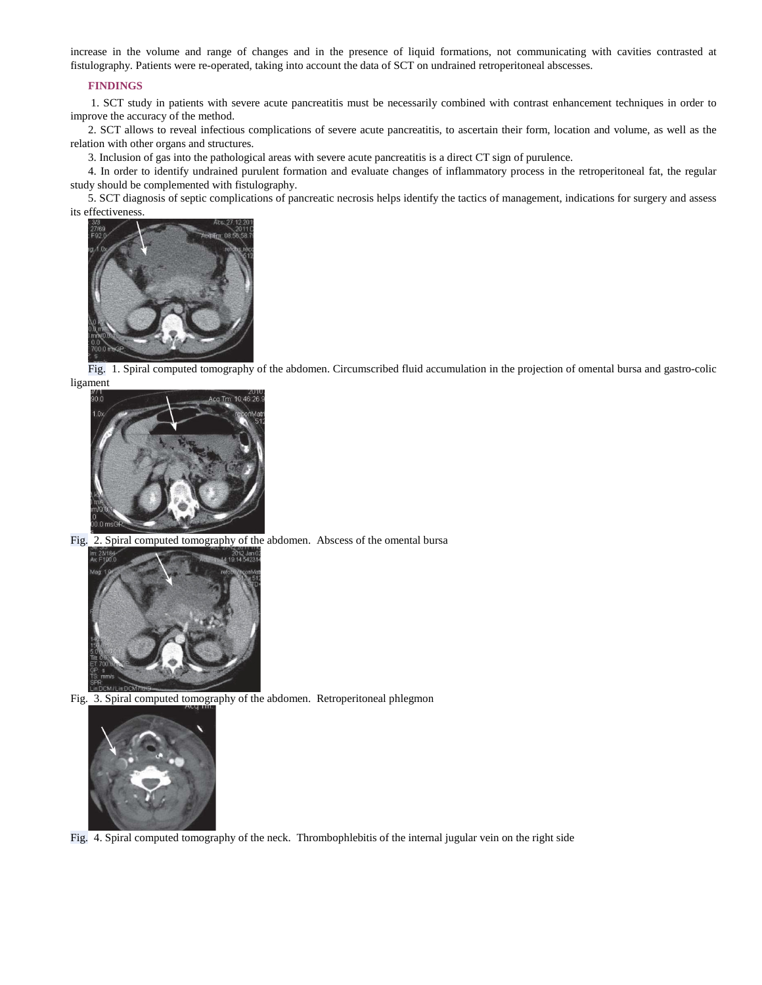increase in the volume and range of changes and in the presence of liquid formations, not communicating with cavities contrasted at fistulography. Patients were re-operated, taking into account the data of SCT on undrained retroperitoneal abscesses.

# **FINDINGS**

1. SCT study in patients with severe acute pancreatitis must be necessarily combined with contrast enhancement techniques in order to improve the accuracy of the method.

2. SCT allows to reveal infectious complications of severe acute pancreatitis, to ascertain their form, location and volume, as well as the relation with other organs and structures.

3. Inclusion of gas into the pathological areas with severe acute pancreatitis is a direct CT sign of purulence.

4. In order to identify undrained purulent formation and evaluate changes of inflammatory process in the retroperitoneal fat, the regular study should be complemented with fistulography.

5. SCT diagnosis of septic complications of pancreatic necrosis helps identify the tactics of management, indications for surgery and assess its effectiveness.



Fig. 1. Spiral computed tomography of the abdomen. Circumscribed fluid accumulation in the projection of omental bursa and gastro-colic ligament



Fig. 2. Spiral computed tomography of the abdomen. Abscess of the omental bursa



Fig. 3. Spiral computed tomography of the abdomen. Retroperitoneal phlegmon



Fig. 4. Spiral computed tomography of the neck. Thrombophlebitis of the internal jugular vein on the right side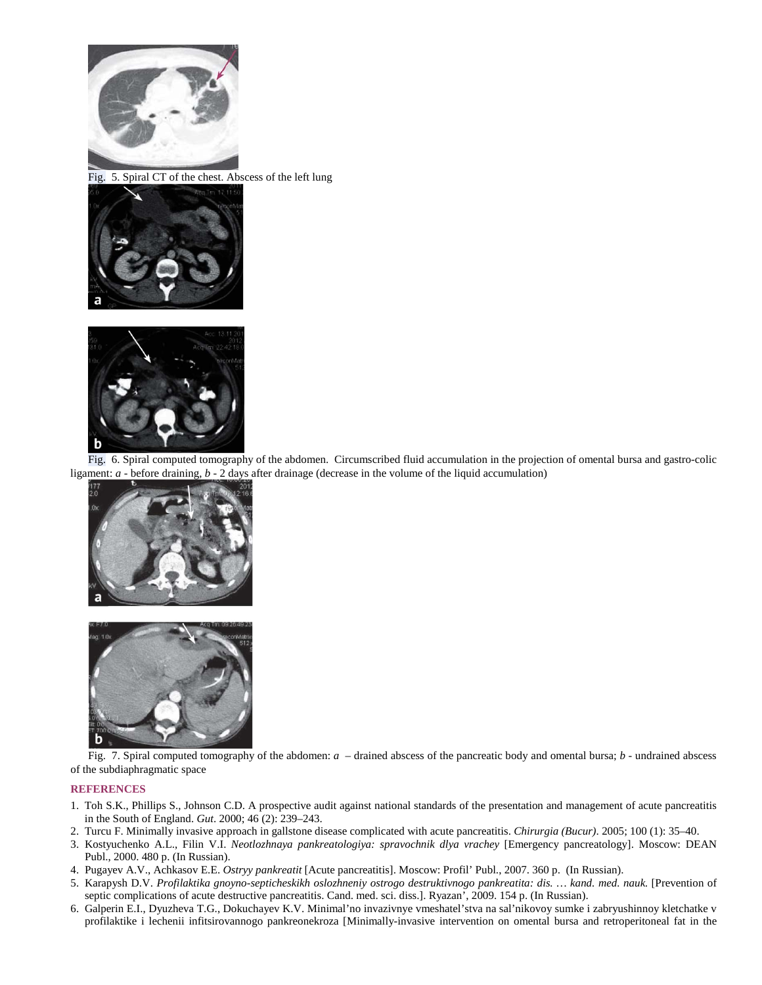

Fig. 5. Spiral CT of the chest. Abscess of the left lung





Fig. 6. Spiral computed tomography of the abdomen. Circumscribed fluid accumulation in the projection of omental bursa and gastro-colic ligament: *a* - before draining, *b* - 2 days after drainage (decrease in the volume of the liquid accumulation)





Fig. 7. Spiral computed tomography of the abdomen: *a* – drained abscess of the pancreatic body and omental bursa; *b* - undrained abscess of the subdiaphragmatic space

# **REFERENCES**

- 1. Toh S.K., Phillips S., Johnson C.D. A prospective audit against national standards of the presentation and management of acute pancreatitis in the South of England. *Gut*. 2000; 46 (2): 239–243.
- 2. Turcu F. Minimally invasive approach in gallstone disease complicated with acute pancreatitis. *Chirurgia (Bucur)*. 2005; 100 (1): 35–40.
- 3. Kostyuchenko A.L., Filin V.I. *Neotlozhnaya pankreatologiya: spravochnik dlya vrachey* [Emergency pancreatology]. Moscow: DEAN Publ., 2000. 480 p. (In Russian).
- 4. Pugayev A.V., Achkasov E.E. *Ostryy pankreatit* [Acute pancreatitis]. Moscow: Profil' Publ., 2007. 360 p. (In Russian).
- 5. Karapysh D.V. *Profilaktika gnoyno-septicheskikh oslozhneniy ostrogo destruktivnogo pankreatita: dis. … kand. med. nauk.* [Prevention of septic complications of acute destructive pancreatitis. Cand. med. sci. diss.]. Ryazan', 2009. 154 p. (In Russian).
- 6. Galperin E.I., Dyuzheva T.G., Dokuchayev K.V. Minimal'no invazivnye vmeshatel'stva na sal'nikovoy sumke i zabryushinnoy kletchatke v profilaktike i lechenii infitsirovannogo pankreonekroza [Minimally-invasive intervention on omental bursa and retroperitoneal fat in the